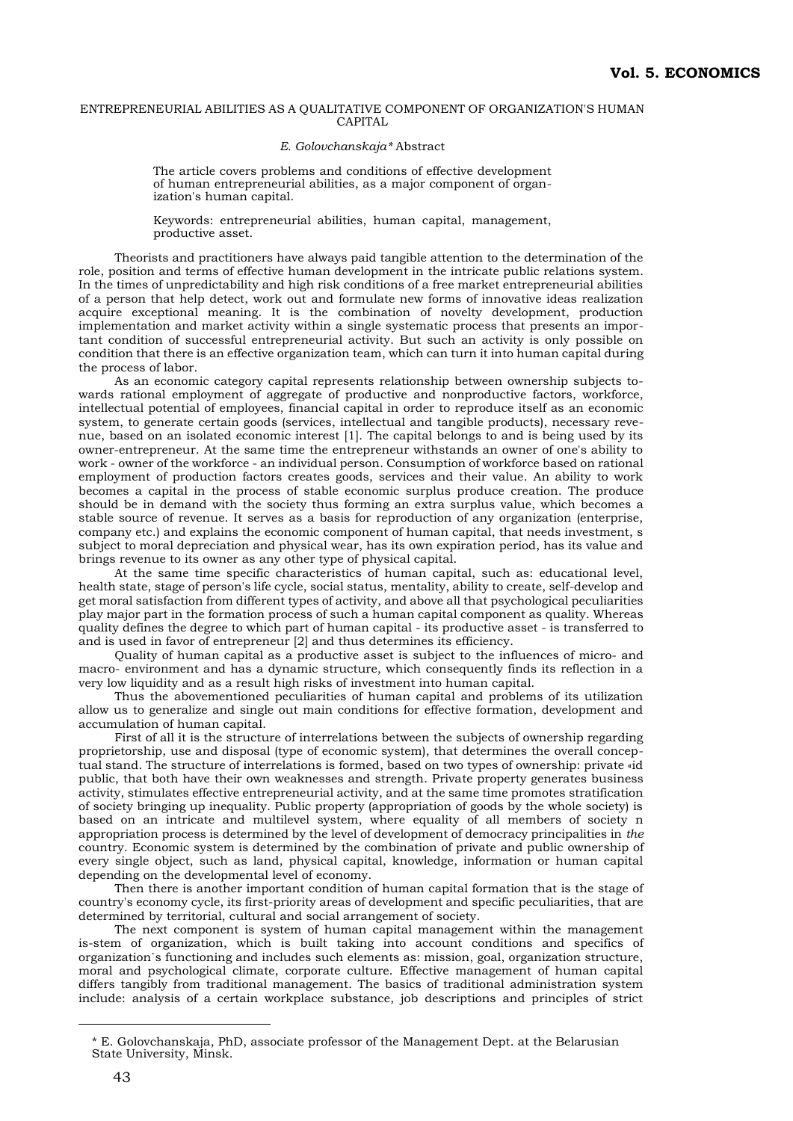## ENTREPRENEURIAL ABILITIES AS A QUALITATIVE COMPONENT OF ORGANIZATION'S HUMAN CAPITAL

## *E. Golovchanskaja\** Abstract

The article covers problems and conditions of effective development of human entrepreneurial abilities, as a major component of organization's human capital.

Keywords: entrepreneurial abilities, human capital, management, productive asset.

Theorists and practitioners have always paid tangible attention to the determination of the role, position and terms of effective human development in the intricate public relations system. In the times of unpredictability and high risk conditions of a free market entrepreneurial abilities of a person that help detect, work out and formulate new forms of innovative ideas realization acquire exceptional meaning. It is the combination of novelty development, production implementation and market activity within a single systematic process that presents an important condition of successful entrepreneurial activity. But such an activity is only possible on condition that there is an effective organization team, which can turn it into human capital during the process of labor.

As an economic category capital represents relationship between ownership subjects towards rational employment of aggregate of productive and nonproductive factors, workforce, intellectual potential of employees, financial capital in order to reproduce itself as an economic system, to generate certain goods (services, intellectual and tangible products), necessary revenue, based on an isolated economic interest [1]. The capital belongs to and is being used by its owner-entrepreneur. At the same time the entrepreneur withstands an owner of one's ability to work - owner of the workforce - an individual person. Consumption of workforce based on rational employment of production factors creates goods, services and their value. An ability to work becomes a capital in the process of stable economic surplus produce creation. The produce should be in demand with the society thus forming an extra surplus value, which becomes a stable source of revenue. It serves as a basis for reproduction of any organization (enterprise, company etc.) and explains the economic component of human capital, that needs investment, s subject to moral depreciation and physical wear, has its own expiration period, has its value and brings revenue to its owner as any other type of physical capital.

At the same time specific characteristics of human capital, such as: educational level, health state, stage of person's life cycle, social status, mentality, ability to create, self-develop and get moral satisfaction from different types of activity, and above all that psychological peculiarities play major part in the formation process of such a human capital component as quality. Whereas quality defines the degree to which part of human capital - its productive asset - is transferred to and is used in favor of entrepreneur [2] and thus determines its efficiency.

Quality of human capital as a productive asset is subject to the influences of micro- and macro- environment and has a dynamic structure, which consequently finds its reflection in a vегу low liquidity and as a result high risks of investment into human capital.

Thus the abovementioned peculiarities of human capital and problems of its utilization allow us to generalize and single out main conditions for effective formation, development and accumulation of human capital.

First of all it is the structure of interrelations between the subjects of ownership regarding proprietorship, use and disposal (type of economic system), that determines the overall conceptual stand. The structure of interrelations is formed, based on two types of ownership: private «id public, that both have their own weaknesses and strength. Private property generates business activity, stimulates effective entrepreneurial activity, and at the same time promotes stratification of society bringing up inequality. Public property (appropriation of goods by the whole society) is based on an intricate and multilevel system, where equality of all members of society n appropriation process is determined by the level of development of democracy principalities in *the* country. Economic system is determined by the combination of private and public ownership of every single object, such as land, physical capital, knowledge, information or human capital depending on the developmental level of economy.

Then there is another important condition of human capital formation that is the stage of country's economy cycle, its first-priority areas of development and specific peculiarities, that are determined by territorial, cultural and social arrangement of society.

The next component is system of human capital management within the management is-stem of organization, which is built taking into account conditions and specifics of organization`s functioning and includes such elements as: mission, goal, organization structure, moral and psychological climate, corporate culture. Effective management of human capital differs tangibly from traditional management. The basics of traditional administration system include: analysis of a certain workplace substance, job descriptions and principles of strict

 $\overline{a}$ 

<sup>\*</sup> E. Golovchanskaja, PhD, associate professor of the Management Dept. at the Belarusian State University, Minsk.